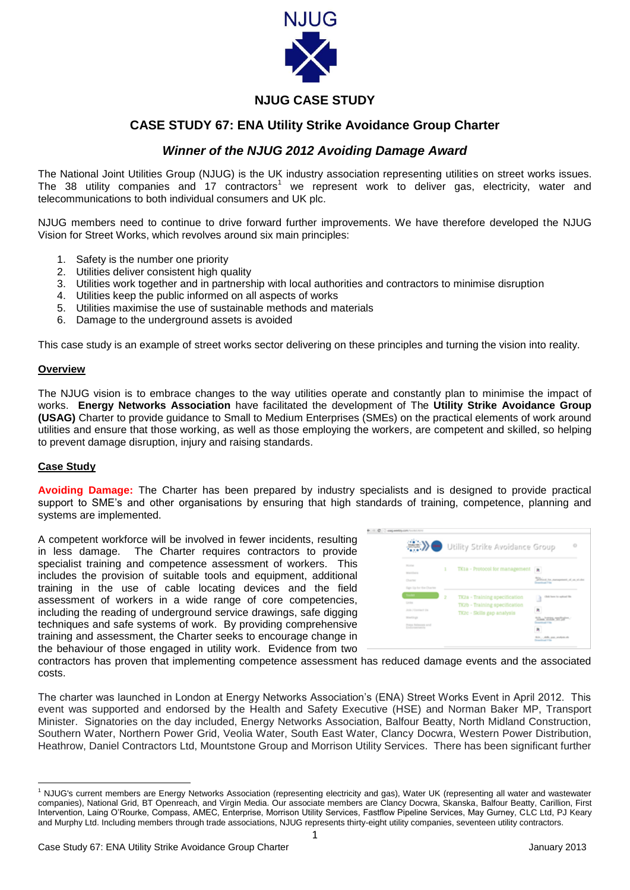

# **NJUG CASE STUDY**

## **CASE STUDY 67: ENA Utility Strike Avoidance Group Charter**

### *Winner of the NJUG 2012 Avoiding Damage Award*

The National Joint Utilities Group (NJUG) is the UK industry association representing utilities on street works issues. The 38 utility companies and 17 contractors<sup>1</sup> we represent work to deliver gas, electricity, water and telecommunications to both individual consumers and UK plc.

NJUG members need to continue to drive forward further improvements. We have therefore developed the NJUG Vision for Street Works, which revolves around six main principles:

- 1. Safety is the number one priority
- 2. Utilities deliver consistent high quality
- 3. Utilities work together and in partnership with local authorities and contractors to minimise disruption
- 4. Utilities keep the public informed on all aspects of works
- 5. Utilities maximise the use of sustainable methods and materials
- 6. Damage to the underground assets is avoided

This case study is an example of street works sector delivering on these principles and turning the vision into reality.

#### **Overview**

The NJUG vision is to embrace changes to the way utilities operate and constantly plan to minimise the impact of works. **Energy Networks Association** have facilitated the development of The **Utility Strike Avoidance Group (USAG)** Charter to provide guidance to Small to Medium Enterprises (SMEs) on the practical elements of work around utilities and ensure that those working, as well as those employing the workers, are competent and skilled, so helping to prevent damage disruption, injury and raising standards.

#### **Case Study**

1

**Avoiding Damage:** The Charter has been prepared by industry specialists and is designed to provide practical support to SME's and other organisations by ensuring that high standards of training, competence, planning and systems are implemented.

 $\sim$ 

A competent workforce will be involved in fewer incidents, resulting in less damage. The Charter requires contractors to provide specialist training and competence assessment of workers. This includes the provision of suitable tools and equipment, additional training in the use of cable locating devices and the field assessment of workers in a wide range of core competencies, including the reading of underground service drawings, safe digging techniques and safe systems of work. By providing comprehensive training and assessment, the Charter seeks to encourage change in the behaviour of those engaged in utility work. Evidence from two

| <b>Honda</b>             | ı                       | TK1a - Protocol for management                              |                                            |
|--------------------------|-------------------------|-------------------------------------------------------------|--------------------------------------------|
| Manfidson                |                         |                                                             | $\mathbf{R}$                               |
| Charles                  |                         |                                                             | and its assumed if anythen<br>entrad Prize |
| Sign Vip for the Charles |                         |                                                             |                                            |
|                          | $\overline{\mathbf{2}}$ | TK2a - Training specification                               | Club here to splical file<br>u             |
| Griks                    |                         | TX2b - Training specification<br>TK2c - Skills gap analysis |                                            |
| Jose J Contact Da        |                         |                                                             | ×                                          |
| Merchan                  |                         |                                                             | <b>ATLANTICA METAPHY</b>                   |
|                          |                         |                                                             | <b>Contract Film</b>                       |

contractors has proven that implementing competence assessment has reduced damage events and the associated costs.

The charter was launched in London at Energy Networks Association's (ENA) Street Works Event in April 2012. This event was supported and endorsed by the Health and Safety Executive (HSE) and Norman Baker MP, Transport Minister. Signatories on the day included, Energy Networks Association, Balfour Beatty, North Midland Construction, Southern Water, Northern Power Grid, Veolia Water, South East Water, Clancy Docwra, Western Power Distribution, Heathrow, Daniel Contractors Ltd, Mountstone Group and Morrison Utility Services. There has been significant further

<sup>&</sup>lt;sup>1</sup> NJUG's current members are Energy Networks Association (representing electricity and gas), Water UK (representing all water and wastewater companies), National Grid, BT Openreach, and Virgin Media. Our associate members are Clancy Docwra, Skanska, Balfour Beatty, Carillion, First Intervention, Laing O'Rourke, Compass, AMEC, Enterprise, Morrison Utility Services, Fastflow Pipeline Services, May Gurney, CLC Ltd, PJ Keary and Murphy Ltd. Including members through trade associations, NJUG represents thirty-eight utility companies, seventeen utility contractors.